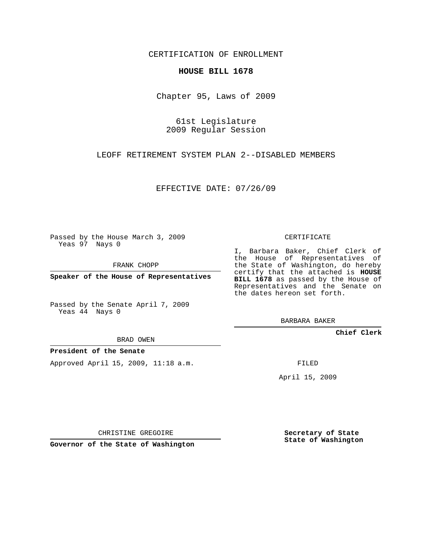## CERTIFICATION OF ENROLLMENT

## **HOUSE BILL 1678**

Chapter 95, Laws of 2009

61st Legislature 2009 Regular Session

LEOFF RETIREMENT SYSTEM PLAN 2--DISABLED MEMBERS

EFFECTIVE DATE: 07/26/09

Passed by the House March 3, 2009 Yeas 97 Nays 0

FRANK CHOPP

**Speaker of the House of Representatives**

Passed by the Senate April 7, 2009 Yeas 44 Nays 0

BRAD OWEN

## **President of the Senate**

Approved April 15, 2009, 11:18 a.m.

CERTIFICATE

I, Barbara Baker, Chief Clerk of the House of Representatives of the State of Washington, do hereby certify that the attached is **HOUSE BILL 1678** as passed by the House of Representatives and the Senate on the dates hereon set forth.

BARBARA BAKER

**Chief Clerk**

FILED

April 15, 2009

CHRISTINE GREGOIRE

**Governor of the State of Washington**

**Secretary of State State of Washington**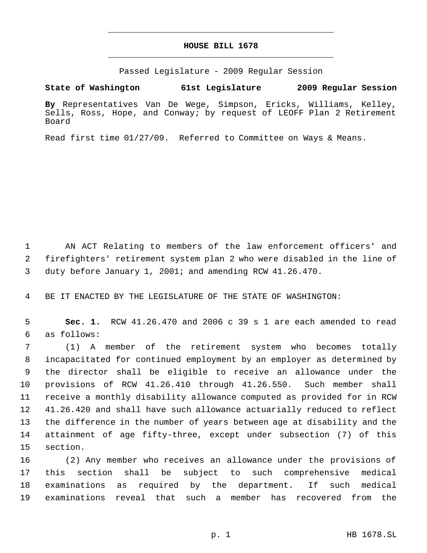## **HOUSE BILL 1678** \_\_\_\_\_\_\_\_\_\_\_\_\_\_\_\_\_\_\_\_\_\_\_\_\_\_\_\_\_\_\_\_\_\_\_\_\_\_\_\_\_\_\_\_\_

\_\_\_\_\_\_\_\_\_\_\_\_\_\_\_\_\_\_\_\_\_\_\_\_\_\_\_\_\_\_\_\_\_\_\_\_\_\_\_\_\_\_\_\_\_

Passed Legislature - 2009 Regular Session

**State of Washington 61st Legislature 2009 Regular Session**

**By** Representatives Van De Wege, Simpson, Ericks, Williams, Kelley, Sells, Ross, Hope, and Conway; by request of LEOFF Plan 2 Retirement Board

Read first time 01/27/09. Referred to Committee on Ways & Means.

 AN ACT Relating to members of the law enforcement officers' and firefighters' retirement system plan 2 who were disabled in the line of duty before January 1, 2001; and amending RCW 41.26.470.

BE IT ENACTED BY THE LEGISLATURE OF THE STATE OF WASHINGTON:

 **Sec. 1.** RCW 41.26.470 and 2006 c 39 s 1 are each amended to read as follows:

 (1) A member of the retirement system who becomes totally incapacitated for continued employment by an employer as determined by the director shall be eligible to receive an allowance under the provisions of RCW 41.26.410 through 41.26.550. Such member shall receive a monthly disability allowance computed as provided for in RCW 41.26.420 and shall have such allowance actuarially reduced to reflect the difference in the number of years between age at disability and the attainment of age fifty-three, except under subsection (7) of this section.

 (2) Any member who receives an allowance under the provisions of this section shall be subject to such comprehensive medical examinations as required by the department. If such medical examinations reveal that such a member has recovered from the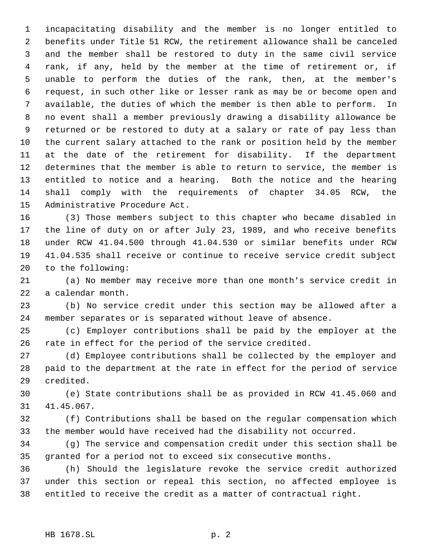incapacitating disability and the member is no longer entitled to benefits under Title 51 RCW, the retirement allowance shall be canceled and the member shall be restored to duty in the same civil service rank, if any, held by the member at the time of retirement or, if unable to perform the duties of the rank, then, at the member's request, in such other like or lesser rank as may be or become open and available, the duties of which the member is then able to perform. In no event shall a member previously drawing a disability allowance be returned or be restored to duty at a salary or rate of pay less than the current salary attached to the rank or position held by the member at the date of the retirement for disability. If the department determines that the member is able to return to service, the member is entitled to notice and a hearing. Both the notice and the hearing shall comply with the requirements of chapter 34.05 RCW, the Administrative Procedure Act.

 (3) Those members subject to this chapter who became disabled in the line of duty on or after July 23, 1989, and who receive benefits under RCW 41.04.500 through 41.04.530 or similar benefits under RCW 41.04.535 shall receive or continue to receive service credit subject to the following:

 (a) No member may receive more than one month's service credit in a calendar month.

 (b) No service credit under this section may be allowed after a member separates or is separated without leave of absence.

 (c) Employer contributions shall be paid by the employer at the rate in effect for the period of the service credited.

 (d) Employee contributions shall be collected by the employer and paid to the department at the rate in effect for the period of service credited.

 (e) State contributions shall be as provided in RCW 41.45.060 and 41.45.067.

 (f) Contributions shall be based on the regular compensation which the member would have received had the disability not occurred.

 (g) The service and compensation credit under this section shall be granted for a period not to exceed six consecutive months.

 (h) Should the legislature revoke the service credit authorized under this section or repeal this section, no affected employee is entitled to receive the credit as a matter of contractual right.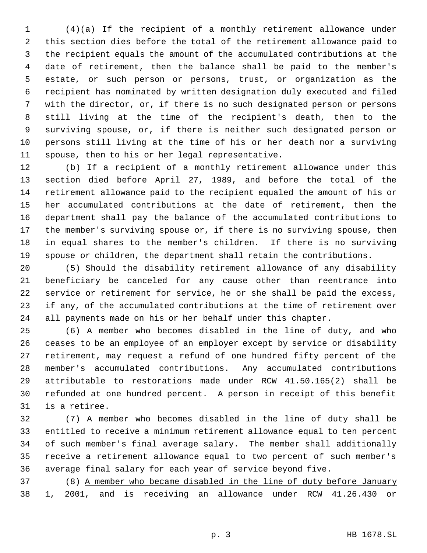(4)(a) If the recipient of a monthly retirement allowance under this section dies before the total of the retirement allowance paid to the recipient equals the amount of the accumulated contributions at the date of retirement, then the balance shall be paid to the member's estate, or such person or persons, trust, or organization as the recipient has nominated by written designation duly executed and filed with the director, or, if there is no such designated person or persons still living at the time of the recipient's death, then to the surviving spouse, or, if there is neither such designated person or persons still living at the time of his or her death nor a surviving spouse, then to his or her legal representative.

 (b) If a recipient of a monthly retirement allowance under this section died before April 27, 1989, and before the total of the retirement allowance paid to the recipient equaled the amount of his or her accumulated contributions at the date of retirement, then the department shall pay the balance of the accumulated contributions to the member's surviving spouse or, if there is no surviving spouse, then in equal shares to the member's children. If there is no surviving spouse or children, the department shall retain the contributions.

 (5) Should the disability retirement allowance of any disability beneficiary be canceled for any cause other than reentrance into service or retirement for service, he or she shall be paid the excess, if any, of the accumulated contributions at the time of retirement over all payments made on his or her behalf under this chapter.

 (6) A member who becomes disabled in the line of duty, and who ceases to be an employee of an employer except by service or disability retirement, may request a refund of one hundred fifty percent of the member's accumulated contributions. Any accumulated contributions attributable to restorations made under RCW 41.50.165(2) shall be refunded at one hundred percent. A person in receipt of this benefit is a retiree.

 (7) A member who becomes disabled in the line of duty shall be entitled to receive a minimum retirement allowance equal to ten percent of such member's final average salary. The member shall additionally receive a retirement allowance equal to two percent of such member's average final salary for each year of service beyond five.

 (8) A member who became disabled in the line of duty before January 38 1, 2001, and is receiving an allowance under RCW 41.26.430 or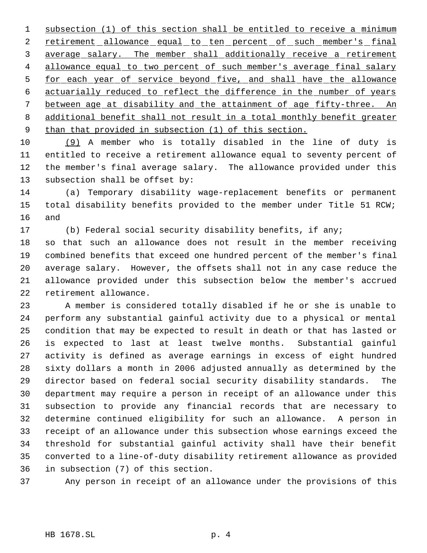subsection (1) of this section shall be entitled to receive a minimum 2 retirement allowance equal to ten percent of such member's final average salary. The member shall additionally receive a retirement 4 allowance equal to two percent of such member's average final salary for each year of service beyond five, and shall have the allowance actuarially reduced to reflect the difference in the number of years between age at disability and the attainment of age fifty-three. An additional benefit shall not result in a total monthly benefit greater 9 than that provided in subsection (1) of this section.

 (9) A member who is totally disabled in the line of duty is entitled to receive a retirement allowance equal to seventy percent of the member's final average salary. The allowance provided under this subsection shall be offset by:

 (a) Temporary disability wage-replacement benefits or permanent total disability benefits provided to the member under Title 51 RCW; and

 (b) Federal social security disability benefits, if any; so that such an allowance does not result in the member receiving combined benefits that exceed one hundred percent of the member's final average salary. However, the offsets shall not in any case reduce the allowance provided under this subsection below the member's accrued retirement allowance.

 A member is considered totally disabled if he or she is unable to perform any substantial gainful activity due to a physical or mental condition that may be expected to result in death or that has lasted or is expected to last at least twelve months. Substantial gainful activity is defined as average earnings in excess of eight hundred sixty dollars a month in 2006 adjusted annually as determined by the director based on federal social security disability standards. The department may require a person in receipt of an allowance under this subsection to provide any financial records that are necessary to determine continued eligibility for such an allowance. A person in receipt of an allowance under this subsection whose earnings exceed the threshold for substantial gainful activity shall have their benefit converted to a line-of-duty disability retirement allowance as provided in subsection (7) of this section.

Any person in receipt of an allowance under the provisions of this